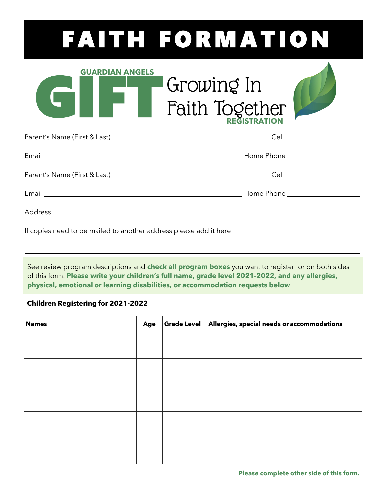## FAITH FORMATION

| <b>GUARDIAN ANGELS</b> | Growing In            |  |
|------------------------|-----------------------|--|
|                        | <b>Faith Together</b> |  |

If copies need to be mailed to another address please add it here

See review program descriptions and **check all program boxes** you want to register for on both sides of this form. **Please write your children's full name, grade level 2021-2022, and any allergies, physical, emotional or learning disabilities, or accommodation requests below**.

## **Children Registering for 2021-2022**

| <b>Names</b> | Age | Grade Level Allergies, special needs or accommodations |
|--------------|-----|--------------------------------------------------------|
|              |     |                                                        |
|              |     |                                                        |
|              |     |                                                        |
|              |     |                                                        |
|              |     |                                                        |
|              |     |                                                        |
|              |     |                                                        |
|              |     |                                                        |
|              |     |                                                        |
|              |     |                                                        |